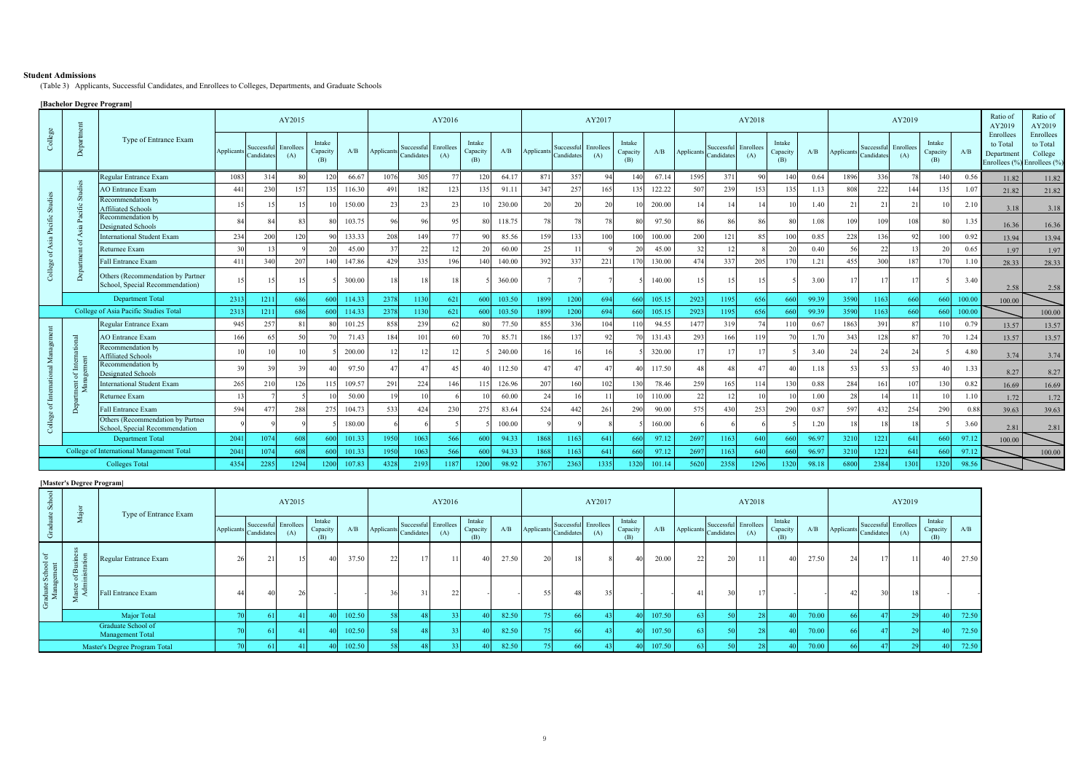#### **Student Admissions**

(Table 3) Applicants, Successful Candidates, and Enrollees to Colleges, Departments, and Graduate Schools

# **[Bachelor Degree Program]**

|                  |                                           |                                                                      |            |                                    | AY2015 |                           |        |                   |                         | AY2016           |                           |        |            |                                    | AY2017 |                           |        |            |                          | AY2018           |                           |       |            |                          | AY2019           |                           |        | Ratio of<br>AY2019                                                 | Ratio of<br>AY2019               |
|------------------|-------------------------------------------|----------------------------------------------------------------------|------------|------------------------------------|--------|---------------------------|--------|-------------------|-------------------------|------------------|---------------------------|--------|------------|------------------------------------|--------|---------------------------|--------|------------|--------------------------|------------------|---------------------------|-------|------------|--------------------------|------------------|---------------------------|--------|--------------------------------------------------------------------|----------------------------------|
| $_{\rm College}$ | Depa                                      | Type of Entrance Exam                                                | Applicants | Successful Enrollees<br>Candidates | (A)    | Intake<br>Capacity<br>(B) | A/B    | <b>Applicants</b> | Successfu<br>Candidates | Enrollees<br>(A) | Intake<br>Capacity<br>(B) | A/B    | Applicants | Successful Enrollees<br>Candidate: | (A)    | Intake<br>Capacity<br>(B) | A/B    | Applicants | Successful<br>Candidates | Enrollees<br>(A) | Intake<br>Capacity<br>(B) | A/B   | Applicants | Successful<br>Candidates | Enrollees<br>(A) | Intake<br>Capacity<br>(B) | A/B    | Enrollees<br>to Total<br>Department<br>Enrollees (%) Enrollees (%) | Enrollees<br>to Total<br>College |
|                  |                                           | Regular Entrance Exam                                                | 1083       | 314                                | 80     | 120                       | 66.67  | 1076              | 305                     | 77               | 120                       | 64.17  | 871        | 357                                | 94     | 140                       | 67.14  | 1595       | 371                      | $^{\circ}$       | 140                       | 0.64  | 1896       | 336                      | 78               | 140                       | 0.56   | 11.82                                                              | 11.82                            |
|                  |                                           | <b>AO</b> Entrance Exam                                              | 441        | 230                                | 157    | 135                       | 116.30 | 491               | 182                     | 123              | 135                       | 91.11  | 347        | 257                                | 165    |                           | 122.22 | 507        | 239                      | 153              | 135                       | 1.13  | 808        | 222                      | 144              | 135                       | 1.07   | 21.82                                                              | 21.82                            |
| adies<br>5       |                                           | Recommendation by<br><b>Affiliated Schools</b>                       |            | 15                                 |        |                           | 150.00 | 23                | 23                      | 23               |                           | 230.00 | 20         | 20                                 | 20     |                           | 200.00 |            | 14                       |                  |                           | 1.40  | 21         | $\overline{2}$           |                  |                           | 2.10   | 3.18                                                               | 3.18                             |
|                  |                                           | Recommendation by<br><b>Designated Schools</b>                       |            |                                    | 83     |                           | 103.75 | 96                | $Q_f$                   | 95               |                           | 118.75 | 78         |                                    | 78     |                           | 97.50  | 86         | 86                       |                  |                           | 1.08  | 109        | 109                      | 108              |                           | 1.35   | 16.36                                                              | 16.36                            |
| £<br><b>Asia</b> |                                           | <b>International Student Exam</b>                                    | 234        | 200                                | 120    |                           | 133.33 | 208               | 149                     | 77               | Q                         | 85.56  | 159        | 133                                | 100    | 100                       | 100.00 | 200        | 121                      |                  | 100                       | 0.85  | 228        | 136                      | Q <sub>2</sub>   | 100                       | 0.92   | 13.94                                                              | 13.94                            |
| ৳                |                                           | Returnee Exam                                                        |            |                                    |        |                           | 45.00  | 37                | 22                      |                  | -20                       | 60.00  | 25         |                                    |        |                           | 45.00  | 32         |                          |                  |                           | 0.40  | 56         | 22                       |                  |                           | 0.65   | 1.97                                                               | 1.97                             |
|                  |                                           | Fall Entrance Exam                                                   | 411        | 340                                | 207    | 140                       | 147.86 | 429               | 335                     | 196              | 140                       | 140.00 | 392        | 337                                | 221    |                           | 130.00 | 474        | 337                      | 205              | 170                       | 1.21  | 455        | 300                      |                  |                           | 1.10   | 28.33                                                              | 28.33                            |
| College          |                                           | Others (Recommendation by Partner<br>School, Special Recommendation) |            | 15                                 |        |                           | 300.00 | 18                |                         |                  |                           | 360.00 |            |                                    |        |                           | 140.00 |            | 15                       |                  |                           | 3.00  |            |                          |                  |                           | 3.40   | 2.58                                                               | 2.58                             |
|                  |                                           | <b>Department Total</b>                                              | 2313       | 1211                               | 686    | 600                       | 114.33 | 2378              | 1130                    | 621              | 600                       | 103.50 | 1899       | 1200                               | 694    | 660                       | 105.15 | 2923       | 1195                     | 656              | 660                       | 99.39 | 3590       | 1163                     | 660              | 660                       | 100.00 | 100.00                                                             |                                  |
|                  |                                           | College of Asia Pacific Studies Total                                | 2313       | 1211                               | 686    | 600                       | 114.33 | 2378              | 1130                    | 621              | 600                       | 103.50 | 1899       | 1200                               | 694    | 660                       | 105.15 | 2923       | 1195                     | 656              | 660                       | 99.39 | 3590       | 1163                     | 660              | 660                       | 100.00 |                                                                    | 100.00                           |
|                  |                                           | Regular Entrance Exam                                                | 945        | 257                                |        |                           | 101.25 | 858               | 239                     |                  | $\mathcal{R}$             | 77.50  | 855        | 336                                | 104    |                           | 94.55  | 1477       | 319                      |                  |                           | 0.67  | 1863       | 391                      | 87               |                           | 0.79   | 13.57                                                              | 13.57                            |
|                  |                                           | <b>AO</b> Entrance Exam                                              | 166        | 65                                 | 50     |                           | 71.43  | 184               | 101                     | 60               |                           | 85.71  | 186        | 137                                | 92     |                           | 131.43 | 293        | 166                      | 119              |                           | 1.70  | 343        | 128                      | 87               |                           | 1.24   | 13.57                                                              | 13.57                            |
|                  |                                           | Recommendation by<br><b>Affiliated Schools</b>                       |            |                                    |        |                           | 200.00 | 12                |                         |                  |                           | 240.00 | 16         |                                    | 16     |                           | 320.00 |            | 17                       |                  |                           | 3.40  | 24         | 24                       |                  |                           | 4.80   | 3.74                                                               | 3.74                             |
|                  |                                           | Recommendation by<br><b>Designated Schools</b>                       | 39         |                                    | 39     |                           | 97.50  | 47                | $\overline{4}$          | 45               |                           | 112.50 | 47         |                                    | 47     |                           | 117.50 | 48         | 48                       |                  | Δſ                        | 1.18  | 53         | 53                       |                  |                           | 1.33   | 8.27                                                               | 8.27                             |
|                  | ž                                         | <b>International Student Exam</b>                                    | 265        | 210                                | 126    | 115                       | 109.57 | 291               | 224                     | 146              | 115                       | 126.96 | 207        | 160                                | 102    |                           | 78.46  | 259        | 165                      | 114              | 130                       | 0.88  | 284        | 16 <sup>2</sup>          | 107              | 130                       | 0.82   | 16.69                                                              | 16.69                            |
|                  |                                           | Returnee Exam                                                        |            |                                    |        |                           | 50.00  |                   |                         |                  |                           | 60.00  | 24         |                                    |        |                           | 110.00 | 22         |                          |                  |                           | 1.00  | 28         |                          |                  |                           | 1.10   | 1.72                                                               | 1.72                             |
| đ                |                                           | Fall Entrance Exam                                                   | 594        | 477                                | 288    | 275                       | 104.73 | 533               | 424                     | 230              | 275                       | 83.64  | 524        | 442                                | 261    | 290                       | 90.00  | 575        | 430                      | 253              | 290                       | 0.87  | 597        | 432                      | 254              | 290                       | 0.88   | 39.63                                                              | 39.63                            |
| Colleg           |                                           | Others (Recommendation by Partner<br>School, Special Recommendation  |            |                                    |        |                           | 180.00 |                   |                         |                  |                           | 100.00 |            |                                    |        |                           | 160.00 |            |                          |                  |                           | 1.20  |            |                          |                  |                           | 3.60   | 2.81                                                               | 2.81                             |
|                  | <b>Department Total</b>                   |                                                                      | 2041       | 1074                               | 608    | 600                       | 101.33 | 1950              | 1063                    | 566              | 600                       | 94.33  | 1868       | 1163                               | 641    | 660                       | 97.12  | 2697       | 1163                     | 640              | 660                       | 96.97 | 3210       | 1221                     | 641              | 660                       | 97.12  | 100.00                                                             |                                  |
|                  | College of International Management Total |                                                                      |            | 1074                               | 608    | 600                       | 101.33 | 1950              | 1063                    | 566              | 600                       | 94.33  | 1868       | 1163                               | 641    | 660                       | 97.12  | 2697       | 1163                     | 640              | 660                       | 96.97 | 3210       | 1221                     | 641              | 660                       | 97     |                                                                    | 100.00                           |
|                  | <b>Colleges Total</b>                     |                                                                      |            | 2285                               | 1294   | 1200                      | 107.83 | 4328              | 2193                    | 1187             | 1200                      | 98.92  | 3767       | 2363                               | 1335   | 1320                      | 101.14 | 5620       | 2358                     | 1296             | 1320                      | 98.18 | 6800       | 2384                     | 1301             | 1320                      | 98.56  |                                                                    |                                  |

### **[Master's Degree Program]**

| $\infty$                               |                                      | Type of Entrance Exam |            |            | AY2015                      |                    |        |            |                                    | AY2016 | AY2017             |       |            |                                    |     |                    | AY2018 |            |            |                             |                    |       | AY2019     |                                    |     |                           |       |
|----------------------------------------|--------------------------------------|-----------------------|------------|------------|-----------------------------|--------------------|--------|------------|------------------------------------|--------|--------------------|-------|------------|------------------------------------|-----|--------------------|--------|------------|------------|-----------------------------|--------------------|-------|------------|------------------------------------|-----|---------------------------|-------|
|                                        | ∠                                    |                       | Applicants | Candidates | Successful Enrollees<br>(A) | Intake<br>Capacity | A/B    | Applicants | Successful Enrollees<br>Candidates | (A)    | Intake<br>Capacity | A/B   | Applicants | Successful Enrollees<br>Candidates | (A) | Intake<br>Capacity | A/B    | Applicants | Candidates | Successful Enrollees<br>(A) | Intake<br>Capacity | A/B   | Applicants | Successful Enrollees<br>Candidates | (A) | Intake<br>Capacity<br>(B) | A/B   |
| School of<br>gement                    | $\equiv$<br>$\mathbf{m}$<br>$-4 + 1$ | Regular Entrance Exam | 26.        | 21         | 15                          |                    | 37.50  | 22         |                                    |        | 40                 | 27.50 | 20         | 18                                 |     | 40                 | 20.00  | 22         | $\Delta$   |                             | 40                 | 27.50 | 24         |                                    |     | 40                        | 27.50 |
| aduate<br>Manag<br>-Ğ                  | NO ∴<br>ш.<br>$\frac{1}{4}$          | Fall Entrance Exam    |            | 40         |                             |                    |        |            | 31                                 |        |                    |       | 55         | 48                                 |     |                    |        |            |            |                             |                    |       | 42         |                                    |     |                           |       |
|                                        | Major Total                          |                       |            | 611        |                             |                    | 102.50 |            |                                    |        |                    | 82.50 |            | 66L                                |     |                    | 107.50 |            |            |                             |                    | 70.00 |            |                                    |     | 40.                       | 72.50 |
| Graduate School of<br>Management Total |                                      |                       | 61         |            |                             | 102.50             |        |            |                                    | 40     | 82.50              |       | -661       |                                    | 40  | 107.50             |        |            |            | 401                         | 70.00              |       |            |                                    | 401 | 72.50                     |       |
|                                        | Master's Degree Program Total        |                       |            | 61.        |                             |                    | 102.50 |            |                                    |        |                    | 82.50 |            | -661                               |     |                    | 107.50 |            |            |                             |                    | 70.00 |            |                                    |     | 40.                       | 72.50 |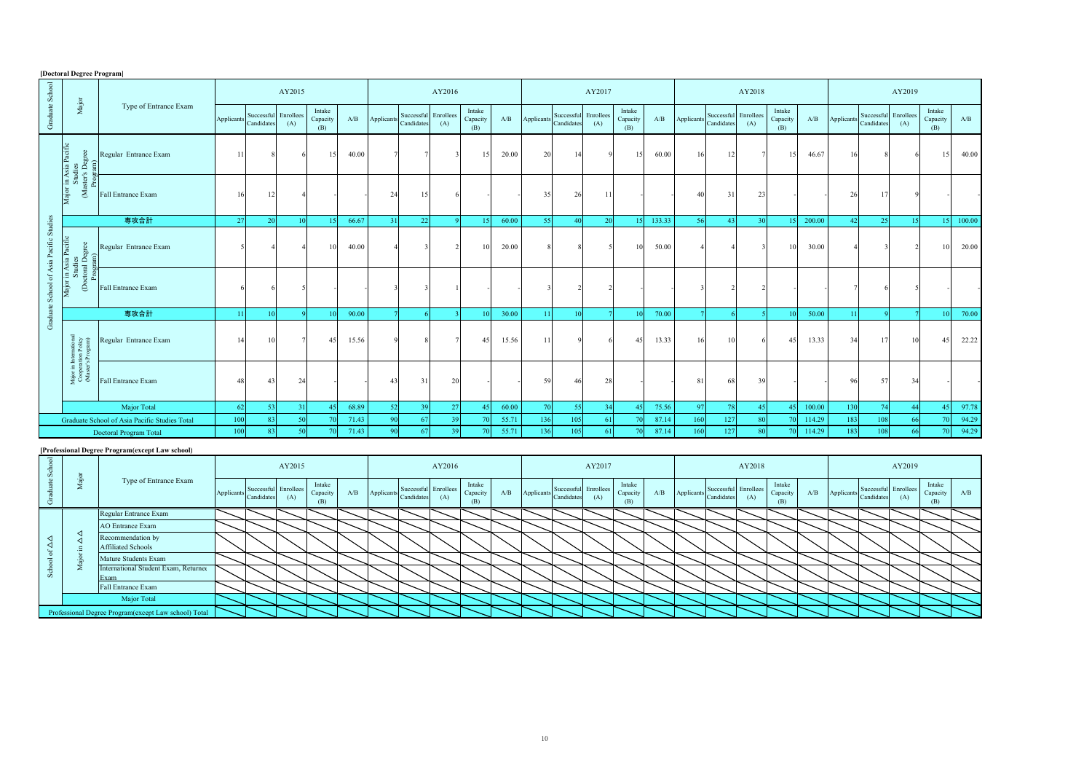| [Doctoral Degree Program]<br>AY2018     |                                                                    |                                               |           |                          |                  |                           |       |            |                          |                  |                           |       |            |                          |                  |                           |        |           |                          |                  |                           |        |            |                                    |     |                           |        |
|-----------------------------------------|--------------------------------------------------------------------|-----------------------------------------------|-----------|--------------------------|------------------|---------------------------|-------|------------|--------------------------|------------------|---------------------------|-------|------------|--------------------------|------------------|---------------------------|--------|-----------|--------------------------|------------------|---------------------------|--------|------------|------------------------------------|-----|---------------------------|--------|
|                                         |                                                                    |                                               |           |                          | AY2015           |                           |       |            |                          | AY2016           |                           |       |            |                          | AY2017           |                           |        |           |                          |                  | AY2019                    |        |            |                                    |     |                           |        |
| Graduate School                         | $_{\rm Major}$                                                     | Type of Entrance Exam                         | Applicant | Successful<br>Candidates | Enrollees<br>(A) | Intake<br>Capacity<br>(B) | A/B   | Applicants | Successful<br>Candidates | Enrollees<br>(A) | Intake<br>Capacity<br>(B) | A/B   | Applicants | Successful<br>Candidates | Enrollees<br>(A) | Intake<br>Capacity<br>(B) | A/B    | Applicant | Successful<br>Candidates | Enrollees<br>(A) | Intake<br>Capacity<br>(B) | A/B    | Applicants | Successful Enrollees<br>Candidates | (A) | Intake<br>Capacity<br>(B) | A/B    |
|                                         | Major in Asia Pacific<br>Studies<br>(Master's Degree<br>Program)   | Regular Entrance Exam                         | 11        | 8                        |                  | 15                        | 40.00 |            |                          |                  | 15                        | 20.00 | 20         | 14                       | C                | 15                        | 60.00  | 16        | 12                       |                  | 15                        | 46.67  | 16         |                                    |     | 15                        | 40.00  |
|                                         |                                                                    | Fall Entrance Exam                            | 16        | 12                       |                  |                           |       | 24         | 15                       |                  |                           |       | 35         | 26                       | -11              |                           |        | 40        | 31                       | 23               |                           |        | 26         |                                    |     |                           |        |
|                                         |                                                                    | 専攻合計                                          | 27        | 20                       | 10               | 15.                       | 66.67 | 31         | 22                       |                  | 15 <sup>1</sup>           | 60.00 | 55         | 40                       | 20               | 15                        | 133.33 | -56       | $4^{\circ}$              | 30 <sup>1</sup>  | 15                        | 200.00 | 42         | 25                                 | 15. | 15                        | 100.00 |
| Graduate School of Asia Pacific Studies | Major in Asia Pacific<br>Studies<br>(Doctoral Degree<br>Program)   | Regular Entrance Exam                         |           |                          |                  |                           | 40.00 |            |                          |                  | 10                        | 20.00 |            |                          |                  | 10                        | 50.00  |           |                          |                  | 10                        | 30.00  |            |                                    |     | $\overline{1}$            | 20.00  |
|                                         |                                                                    | Fall Entrance Exam                            |           |                          |                  |                           |       |            |                          |                  |                           |       |            |                          |                  |                           |        |           |                          |                  |                           |        |            |                                    |     |                           |        |
|                                         |                                                                    | 専攻合計                                          | 11        | 10                       |                  |                           | 90.00 |            |                          |                  | 10                        | 30.00 | 11         | $\overline{10}$          |                  | 10                        | 70.00  |           |                          |                  | 10                        | 50.00  | 11         |                                    |     | $\overline{1}$            | 70.00  |
|                                         | Major in International<br>Cooperation Policy<br>(Master's Program) | Regular Entrance Exam                         | 14        | 10                       |                  | 45                        | 15.56 |            |                          |                  | 45                        | 15.56 | 11         |                          |                  | 45                        | 13.33  | 16        | 10                       |                  | 45                        | 13.33  | 34         | 17                                 | 10  | 45                        | 22.22  |
|                                         |                                                                    | Fall Entrance Exam                            | 48        | 43                       | 24               |                           |       | 43         | 31                       | 20               |                           |       | 59         | 46                       | 28               |                           |        | 81        | 68                       | 39               |                           |        | 96         | 57                                 |     |                           |        |
|                                         |                                                                    | Major Total                                   | 62        | 53                       |                  |                           | 68.89 | 52         | 39                       | 27               | 45                        | 60.00 | 70         | -55                      | 34               | 45                        | 75.56  | 97        | 7s                       | 45               | 45                        | 100.00 | 130        | 74                                 | 44  | $\overline{4}$            | 97.78  |
|                                         |                                                                    | Graduate School of Asia Pacific Studies Total | 100       | 83                       | 50 <sub>0</sub>  |                           | 71.43 | 90         | 67                       | 39               | 70                        | 55.71 | 136        | 105                      | 61               | 70                        | 87.14  | 160       | 127                      | 80               | 70                        | 114.29 | 183        | 108                                | 66  |                           | 94.29  |
|                                         |                                                                    | Doctoral Program Total                        | 100       | 83                       | 50               | 70                        | 71.43 | 90         | 67                       | 39               | 70                        | 55.71 | 136        | 105                      | 61               | 70                        | 87.14  | 160       | 127                      | 80               | 70                        | 114.29 | 183        | 108                                | 66  | 7 <sub>0</sub>            | 94.29  |

## **[Professional Degree Program(except Law school)**

|  | Type of Entrance Exam                                |             |            | AY2015                      |                           |     | AY2016     |            |                             |                           |  |                | AY2017                             |     |                           |     |                          |  | AY2018                      |                           |     |            |            |                             | AY2019                    |     |  |  |  |  |
|--|------------------------------------------------------|-------------|------------|-----------------------------|---------------------------|-----|------------|------------|-----------------------------|---------------------------|--|----------------|------------------------------------|-----|---------------------------|-----|--------------------------|--|-----------------------------|---------------------------|-----|------------|------------|-----------------------------|---------------------------|-----|--|--|--|--|
|  |                                                      | Applicants. | Candidates | Successful Enrollees<br>(A) | Intake<br>Capacity<br>(B) | A/B | Applicants | Candidates | Successful Enrollees<br>(A) | Intake<br>Capacity<br>(B) |  | A/B Applicants | Successful Enrollees<br>Candidates | (A) | Intake<br>Capacity<br>(B) | A/B | Applicants<br>Candidates |  | Successful Enrollees<br>(A) | Intake<br>Capacity<br>(B) | A/B | Applicants | Candidates | Successful Enrollees<br>(A) | Intake<br>Capacity<br>(B) | A/B |  |  |  |  |
|  | Regular Entrance Exam                                |             |            |                             |                           |     |            |            |                             |                           |  |                |                                    |     |                           |     |                          |  |                             |                           |     |            |            |                             |                           |     |  |  |  |  |
|  | <b>AO</b> Entrance Exam                              |             |            |                             |                           |     |            |            |                             |                           |  |                |                                    |     |                           |     |                          |  |                             |                           |     |            |            |                             |                           |     |  |  |  |  |
|  | Recommendation by<br><b>Affiliated Schools</b>       |             |            |                             |                           |     |            |            |                             |                           |  |                |                                    |     |                           |     |                          |  |                             |                           |     |            |            |                             |                           |     |  |  |  |  |
|  | Mature Students Exam                                 |             |            |                             |                           |     |            |            |                             |                           |  |                |                                    |     |                           |     |                          |  |                             |                           |     |            |            |                             |                           |     |  |  |  |  |
|  | International Student Exam, Returned<br>ixam         |             |            |                             |                           |     |            |            |                             |                           |  |                |                                    |     |                           |     |                          |  |                             |                           |     |            |            |                             |                           |     |  |  |  |  |
|  | Fall Entrance Exam                                   |             |            |                             |                           |     |            |            |                             |                           |  |                |                                    |     |                           |     |                          |  |                             |                           |     |            |            |                             |                           |     |  |  |  |  |
|  | Major Total                                          |             |            |                             |                           |     |            |            |                             |                           |  |                |                                    |     |                           |     |                          |  |                             |                           |     |            |            |                             |                           |     |  |  |  |  |
|  | Professional Degree Program(except Law school) Total |             |            |                             |                           |     |            |            |                             |                           |  |                |                                    |     |                           |     |                          |  |                             |                           |     |            |            |                             |                           |     |  |  |  |  |